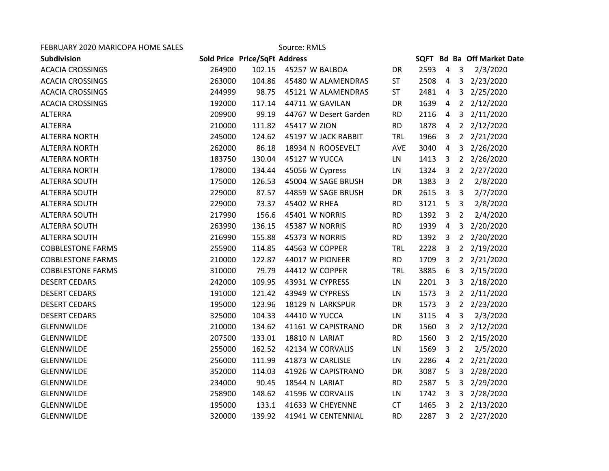| FEBRUARY 2020 MARICOPA HOME SALES |        |                               | Source: RMLS          |            |      |                         |                |                            |
|-----------------------------------|--------|-------------------------------|-----------------------|------------|------|-------------------------|----------------|----------------------------|
| Subdivision                       |        | Sold Price Price/SqFt Address |                       |            |      |                         |                | SQFT Bd Ba Off Market Date |
| <b>ACACIA CROSSINGS</b>           | 264900 | 102.15                        | 45257 W BALBOA        | DR         | 2593 | $\overline{4}$          | 3              | 2/3/2020                   |
| <b>ACACIA CROSSINGS</b>           | 263000 | 104.86                        | 45480 W ALAMENDRAS    | <b>ST</b>  | 2508 | $\overline{4}$          | 3 <sup>1</sup> | 2/23/2020                  |
| <b>ACACIA CROSSINGS</b>           | 244999 | 98.75                         | 45121 W ALAMENDRAS    | <b>ST</b>  | 2481 | 4                       | 3 <sup>1</sup> | 2/25/2020                  |
| <b>ACACIA CROSSINGS</b>           | 192000 | 117.14                        | 44711 W GAVILAN       | DR         | 1639 | $\overline{4}$          | $2^{\circ}$    | 2/12/2020                  |
| <b>ALTERRA</b>                    | 209900 | 99.19                         | 44767 W Desert Garden | <b>RD</b>  | 2116 | $\overline{a}$          | 3              | 2/11/2020                  |
| <b>ALTERRA</b>                    | 210000 | 111.82                        | 45417 W ZION          | <b>RD</b>  | 1878 | 4                       | $2^{\circ}$    | 2/12/2020                  |
| <b>ALTERRA NORTH</b>              | 245000 | 124.62                        | 45197 W JACK RABBIT   | <b>TRL</b> | 1966 | 3                       | $2^{\circ}$    | 2/21/2020                  |
| <b>ALTERRA NORTH</b>              | 262000 | 86.18                         | 18934 N ROOSEVELT     | AVE        | 3040 | $\overline{4}$          | $\mathbf{3}$   | 2/26/2020                  |
| <b>ALTERRA NORTH</b>              | 183750 | 130.04                        | 45127 W YUCCA         | LN         | 1413 | $\overline{3}$          |                | 2 2/26/2020                |
| <b>ALTERRA NORTH</b>              | 178000 | 134.44                        | 45056 W Cypress       | LN         | 1324 | 3                       | $2^{\circ}$    | 2/27/2020                  |
| <b>ALTERRA SOUTH</b>              | 175000 | 126.53                        | 45004 W SAGE BRUSH    | <b>DR</b>  | 1383 | $\overline{3}$          | $\overline{2}$ | 2/8/2020                   |
| <b>ALTERRA SOUTH</b>              | 229000 | 87.57                         | 44859 W SAGE BRUSH    | <b>DR</b>  | 2615 | 3                       | 3              | 2/7/2020                   |
| <b>ALTERRA SOUTH</b>              | 229000 | 73.37                         | 45402 W RHEA          | <b>RD</b>  | 3121 | - 5                     | $\overline{3}$ | 2/8/2020                   |
| <b>ALTERRA SOUTH</b>              | 217990 | 156.6                         | 45401 W NORRIS        | <b>RD</b>  | 1392 | $\overline{3}$          | $\overline{2}$ | 2/4/2020                   |
| <b>ALTERRA SOUTH</b>              | 263990 | 136.15                        | 45387 W NORRIS        | <b>RD</b>  | 1939 | $\overline{4}$          | 3              | 2/20/2020                  |
| <b>ALTERRA SOUTH</b>              | 216990 | 155.88                        | 45373 W NORRIS        | <b>RD</b>  | 1392 | 3                       | $2^{\circ}$    | 2/20/2020                  |
| <b>COBBLESTONE FARMS</b>          | 255900 | 114.85                        | 44563 W COPPER        | <b>TRL</b> | 2228 | 3                       | $2^{\circ}$    | 2/19/2020                  |
| <b>COBBLESTONE FARMS</b>          | 210000 | 122.87                        | 44017 W PIONEER       | <b>RD</b>  | 1709 | $\overline{\mathbf{3}}$ |                | 2 2/21/2020                |
| <b>COBBLESTONE FARMS</b>          | 310000 | 79.79                         | 44412 W COPPER        | <b>TRL</b> | 3885 | 6                       | 3              | 2/15/2020                  |
| <b>DESERT CEDARS</b>              | 242000 | 109.95                        | 43931 W CYPRESS       | <b>LN</b>  | 2201 | 3                       | 3 <sup>1</sup> | 2/18/2020                  |
| <b>DESERT CEDARS</b>              | 191000 | 121.42                        | 43949 W CYPRESS       | LN         | 1573 | $\overline{3}$          | $2^{\circ}$    | 2/11/2020                  |
| <b>DESERT CEDARS</b>              | 195000 | 123.96                        | 18129 N LARKSPUR      | DR         | 1573 | $\overline{\mathbf{3}}$ |                | 2 2/23/2020                |
| <b>DESERT CEDARS</b>              | 325000 | 104.33                        | 44410 W YUCCA         | LN         | 3115 | $\overline{4}$          | 3              | 2/3/2020                   |
| <b>GLENNWILDE</b>                 | 210000 | 134.62                        | 41161 W CAPISTRANO    | <b>DR</b>  | 1560 | 3                       | $2^{\circ}$    | 2/12/2020                  |
| <b>GLENNWILDE</b>                 | 207500 | 133.01                        | 18810 N LARIAT        | <b>RD</b>  | 1560 | 3                       | $2^{\circ}$    | 2/15/2020                  |
| <b>GLENNWILDE</b>                 | 255000 | 162.52                        | 42134 W CORVALIS      | LN         | 1569 | 3                       | $\overline{2}$ | 2/5/2020                   |
| GLENNWILDE                        | 256000 | 111.99                        | 41873 W CARLISLE      | LN         | 2286 | $\overline{4}$          | $2^{\circ}$    | 2/21/2020                  |
| GLENNWILDE                        | 352000 | 114.03                        | 41926 W CAPISTRANO    | DR         | 3087 | 5                       | 3              | 2/28/2020                  |
| <b>GLENNWILDE</b>                 | 234000 | 90.45                         | 18544 N LARIAT        | <b>RD</b>  | 2587 | 5                       | 3              | 2/29/2020                  |
| <b>GLENNWILDE</b>                 | 258900 | 148.62                        | 41596 W CORVALIS      | LN         | 1742 | 3                       | $\mathbf{3}$   | 2/28/2020                  |
| <b>GLENNWILDE</b>                 | 195000 | 133.1                         | 41633 W CHEYENNE      | <b>CT</b>  | 1465 | $\overline{3}$          |                | 2 2/13/2020                |
| <b>GLENNWILDE</b>                 | 320000 | 139.92                        | 41941 W CENTENNIAL    | <b>RD</b>  | 2287 | 3                       |                | 2 2/27/2020                |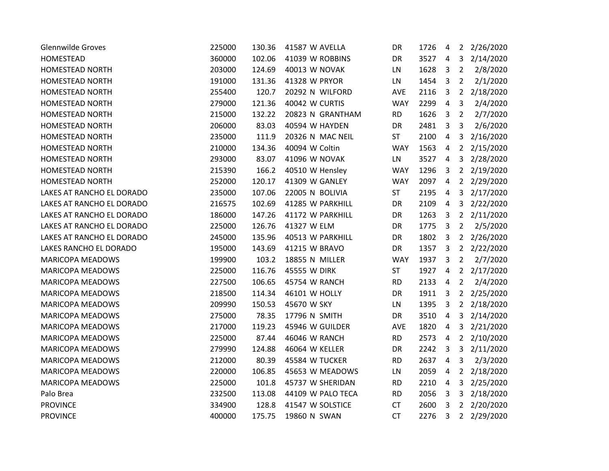| <b>Glennwilde Groves</b>  | 225000 | 130.36 | 41587 W AVELLA       | DR         | 1726 | 4              |                | 2 2/26/2020 |
|---------------------------|--------|--------|----------------------|------------|------|----------------|----------------|-------------|
| HOMESTEAD                 | 360000 | 102.06 | 41039 W ROBBINS      | DR         | 3527 | 4              | 3              | 2/14/2020   |
| <b>HOMESTEAD NORTH</b>    | 203000 | 124.69 | <b>40013 W NOVAK</b> | LN         | 1628 | 3              | $\overline{2}$ | 2/8/2020    |
| <b>HOMESTEAD NORTH</b>    | 191000 | 131.36 | 41328 W PRYOR        | LN         | 1454 | 3              | $\overline{2}$ | 2/1/2020    |
| <b>HOMESTEAD NORTH</b>    | 255400 | 120.7  | 20292 N WILFORD      | AVE        | 2116 | $\overline{3}$ | $2^{\circ}$    | 2/18/2020   |
| <b>HOMESTEAD NORTH</b>    | 279000 | 121.36 | 40042 W CURTIS       | <b>WAY</b> | 2299 | $\overline{4}$ | 3              | 2/4/2020    |
| HOMESTEAD NORTH           | 215000 | 132.22 | 20823 N GRANTHAM     | <b>RD</b>  | 1626 | 3              | $\overline{2}$ | 2/7/2020    |
| <b>HOMESTEAD NORTH</b>    | 206000 | 83.03  | 40594 W HAYDEN       | DR         | 2481 | 3              | 3              | 2/6/2020    |
| HOMESTEAD NORTH           | 235000 | 111.9  | 20326 N MAC NEIL     | <b>ST</b>  | 2100 | $\overline{4}$ | 3              | 2/16/2020   |
| HOMESTEAD NORTH           | 210000 | 134.36 | 40094 W Coltin       | <b>WAY</b> | 1563 | $\overline{4}$ | $\overline{2}$ | 2/15/2020   |
| <b>HOMESTEAD NORTH</b>    | 293000 | 83.07  | 41096 W NOVAK        | LN         | 3527 | $\overline{4}$ | 3              | 2/28/2020   |
| HOMESTEAD NORTH           | 215390 | 166.2  | 40510 W Hensley      | <b>WAY</b> | 1296 | 3              | $\overline{2}$ | 2/19/2020   |
| <b>HOMESTEAD NORTH</b>    | 252000 | 120.17 | 41309 W GANLEY       | <b>WAY</b> | 2097 | $\overline{4}$ | $2^{\circ}$    | 2/29/2020   |
| LAKES AT RANCHO EL DORADO | 235000 | 107.06 | 22005 N BOLIVIA      | <b>ST</b>  | 2195 | 4              | 3              | 2/17/2020   |
| LAKES AT RANCHO EL DORADO | 216575 | 102.69 | 41285 W PARKHILL     | DR         | 2109 | $\overline{4}$ | 3              | 2/22/2020   |
| LAKES AT RANCHO EL DORADO | 186000 | 147.26 | 41172 W PARKHILL     | DR         | 1263 | 3              | $2^{\circ}$    | 2/11/2020   |
| LAKES AT RANCHO EL DORADO | 225000 | 126.76 | 41327 W ELM          | DR         | 1775 | $\overline{3}$ | $\overline{2}$ | 2/5/2020    |
| LAKES AT RANCHO EL DORADO | 245000 | 135.96 | 40513 W PARKHILL     | DR         | 1802 | 3              | $2^{\circ}$    | 2/26/2020   |
| LAKES RANCHO EL DORADO    | 195000 | 143.69 | 41215 W BRAVO        | <b>DR</b>  | 1357 | 3              | $2^{\circ}$    | 2/22/2020   |
| <b>MARICOPA MEADOWS</b>   | 199900 | 103.2  | 18855 N MILLER       | <b>WAY</b> | 1937 | 3              | $\overline{2}$ | 2/7/2020    |
| <b>MARICOPA MEADOWS</b>   | 225000 | 116.76 | 45555 W DIRK         | <b>ST</b>  | 1927 | 4              | $2^{\circ}$    | 2/17/2020   |
| <b>MARICOPA MEADOWS</b>   | 227500 | 106.65 | 45754 W RANCH        | <b>RD</b>  | 2133 | $\overline{4}$ | $\overline{2}$ | 2/4/2020    |
| <b>MARICOPA MEADOWS</b>   | 218500 | 114.34 | 46101 W HOLLY        | DR         | 1911 | 3              | $2^{\circ}$    | 2/25/2020   |
| MARICOPA MEADOWS          | 209990 | 150.53 | 45670 W SKY          | LN         | 1395 | 3              | $2^{\circ}$    | 2/18/2020   |
| <b>MARICOPA MEADOWS</b>   | 275000 | 78.35  | 17796 N SMITH        | DR         | 3510 | $\overline{4}$ | 3              | 2/14/2020   |
| <b>MARICOPA MEADOWS</b>   | 217000 | 119.23 | 45946 W GUILDER      | <b>AVE</b> | 1820 | 4              | 3              | 2/21/2020   |
| <b>MARICOPA MEADOWS</b>   | 225000 | 87.44  | 46046 W RANCH        | <b>RD</b>  | 2573 | 4              | $\overline{2}$ | 2/10/2020   |
| <b>MARICOPA MEADOWS</b>   | 279990 | 124.88 | 46064 W KELLER       | DR         | 2242 | 3              | 3              | 2/11/2020   |
| <b>MARICOPA MEADOWS</b>   | 212000 | 80.39  | 45584 W TUCKER       | <b>RD</b>  | 2637 | $\overline{4}$ | 3              | 2/3/2020    |
| <b>MARICOPA MEADOWS</b>   | 220000 | 106.85 | 45653 W MEADOWS      | LN         | 2059 | $\overline{4}$ | $\overline{2}$ | 2/18/2020   |
| <b>MARICOPA MEADOWS</b>   | 225000 | 101.8  | 45737 W SHERIDAN     | <b>RD</b>  | 2210 | $\overline{a}$ | 3              | 2/25/2020   |
| Palo Brea                 | 232500 | 113.08 | 44109 W PALO TECA    | <b>RD</b>  | 2056 | 3              | 3              | 2/18/2020   |
| <b>PROVINCE</b>           | 334900 | 128.8  | 41547 W SOLSTICE     | <b>CT</b>  | 2600 | 3              | $2^{\circ}$    | 2/20/2020   |
| <b>PROVINCE</b>           | 400000 | 175.75 | 19860 N SWAN         | CT         | 2276 | $\overline{3}$ |                | 2 2/29/2020 |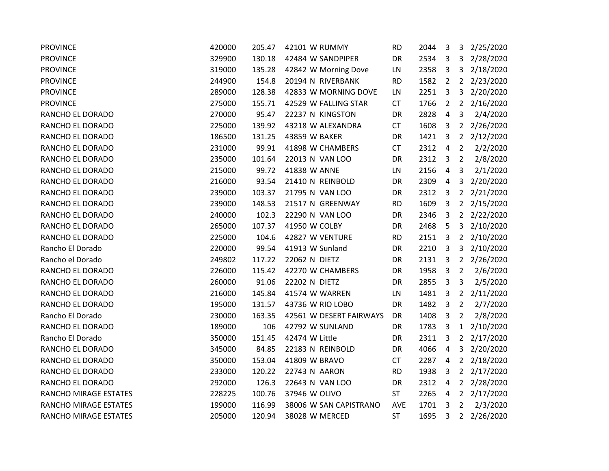| <b>PROVINCE</b>       | 420000 | 205.47 | 42101 W RUMMY           | <b>RD</b> | 2044 | 3                       | 3              | 2/25/2020   |
|-----------------------|--------|--------|-------------------------|-----------|------|-------------------------|----------------|-------------|
| <b>PROVINCE</b>       | 329900 | 130.18 | 42484 W SANDPIPER       | DR        | 2534 | $\overline{3}$          | 3              | 2/28/2020   |
| <b>PROVINCE</b>       | 319000 | 135.28 | 42842 W Morning Dove    | LN        | 2358 | $\overline{3}$          | 3              | 2/18/2020   |
| <b>PROVINCE</b>       | 244900 | 154.8  | 20194 N RIVERBANK       | <b>RD</b> | 1582 | $\overline{2}$          | $2^{\circ}$    | 2/23/2020   |
| <b>PROVINCE</b>       | 289000 | 128.38 | 42833 W MORNING DOVE    | LN        | 2251 | $\mathbf{3}$            | 3              | 2/20/2020   |
| <b>PROVINCE</b>       | 275000 | 155.71 | 42529 W FALLING STAR    | <b>CT</b> | 1766 | $\overline{2}$          | $2^{\circ}$    | 2/16/2020   |
| RANCHO EL DORADO      | 270000 | 95.47  | 22237 N KINGSTON        | DR        | 2828 | 4                       | 3              | 2/4/2020    |
| RANCHO EL DORADO      | 225000 | 139.92 | 43218 W ALEXANDRA       | <b>CT</b> | 1608 | $\overline{3}$          | $2^{\circ}$    | 2/26/2020   |
| RANCHO EL DORADO      | 186500 | 131.25 | 43859 W BAKER           | DR        | 1421 | $\overline{3}$          | $2^{\circ}$    | 2/12/2020   |
| RANCHO EL DORADO      | 231000 | 99.91  | 41898 W CHAMBERS        | <b>CT</b> | 2312 | $\overline{4}$          | $\overline{2}$ | 2/2/2020    |
| RANCHO EL DORADO      | 235000 | 101.64 | 22013 N VAN LOO         | DR        | 2312 | $\overline{3}$          | $\overline{2}$ | 2/8/2020    |
| RANCHO EL DORADO      | 215000 | 99.72  | 41838 W ANNE            | LN        | 2156 | 4                       | 3              | 2/1/2020    |
| RANCHO EL DORADO      | 216000 | 93.54  | 21410 N REINBOLD        | <b>DR</b> | 2309 | 4                       | $\mathbf{3}$   | 2/20/2020   |
| RANCHO EL DORADO      | 239000 | 103.37 | 21795 N VAN LOO         | DR        | 2312 | $\overline{3}$          | $2^{\circ}$    | 2/21/2020   |
| RANCHO EL DORADO      | 239000 | 148.53 | 21517 N GREENWAY        | <b>RD</b> | 1609 | $\overline{3}$          | $\overline{2}$ | 2/15/2020   |
| RANCHO EL DORADO      | 240000 | 102.3  | 22290 N VAN LOO         | DR        | 2346 | $\overline{3}$          | $2^{\circ}$    | 2/22/2020   |
| RANCHO EL DORADO      | 265000 | 107.37 | 41950 W COLBY           | <b>DR</b> | 2468 | 5                       | 3              | 2/10/2020   |
| RANCHO EL DORADO      | 225000 | 104.6  | 42827 W VENTURE         | <b>RD</b> | 2151 | $\overline{3}$          | $2^{\circ}$    | 2/10/2020   |
| Rancho El Dorado      | 220000 | 99.54  | 41913 W Sunland         | DR        | 2210 | $\overline{3}$          | $\overline{3}$ | 2/10/2020   |
| Rancho el Dorado      | 249802 | 117.22 | 22062 N DIETZ           | DR        | 2131 | $\overline{\mathbf{3}}$ |                | 2 2/26/2020 |
| RANCHO EL DORADO      | 226000 | 115.42 | 42270 W CHAMBERS        | DR        | 1958 | $\overline{3}$          | $\overline{2}$ | 2/6/2020    |
| RANCHO EL DORADO      | 260000 | 91.06  | 22202 N DIETZ           | DR        | 2855 | 3                       | 3              | 2/5/2020    |
| RANCHO EL DORADO      | 216000 | 145.84 | 41574 W WARREN          | LN        | 1481 | $\overline{3}$          |                | 2 2/11/2020 |
| RANCHO EL DORADO      | 195000 | 131.57 | 43736 W RIO LOBO        | DR        | 1482 | $\overline{3}$          | $\overline{2}$ | 2/7/2020    |
| Rancho El Dorado      | 230000 | 163.35 | 42561 W DESERT FAIRWAYS | DR        | 1408 | $\overline{3}$          | 2              | 2/8/2020    |
| RANCHO EL DORADO      | 189000 | 106    | 42792 W SUNLAND         | <b>DR</b> | 1783 | $\overline{3}$          | 1              | 2/10/2020   |
| Rancho El Dorado      | 350000 | 151.45 | 42474 W Little          | DR        | 2311 | 3                       | $2^{\circ}$    | 2/17/2020   |
| RANCHO EL DORADO      | 345000 | 84.85  | 22183 N REINBOLD        | DR        | 4066 | $\overline{4}$          | 3              | 2/20/2020   |
| RANCHO EL DORADO      | 350000 | 153.04 | 41809 W BRAVO           | <b>CT</b> | 2287 | $\overline{4}$          | $\overline{2}$ | 2/18/2020   |
| RANCHO EL DORADO      | 233000 | 120.22 | 22743 N AARON           | <b>RD</b> | 1938 | 3                       | $\overline{2}$ | 2/17/2020   |
| RANCHO EL DORADO      | 292000 | 126.3  | 22643 N VAN LOO         | <b>DR</b> | 2312 | 4                       | $2^{\circ}$    | 2/28/2020   |
| RANCHO MIRAGE ESTATES | 228225 | 100.76 | 37946 W OLIVO           | <b>ST</b> | 2265 | 4                       |                | 2 2/17/2020 |
| RANCHO MIRAGE ESTATES | 199000 | 116.99 | 38006 W SAN CAPISTRANO  | AVE       | 1701 | $\overline{3}$          | $\overline{2}$ | 2/3/2020    |
| RANCHO MIRAGE ESTATES | 205000 | 120.94 | 38028 W MERCED          | <b>ST</b> | 1695 | 3                       |                | 2 2/26/2020 |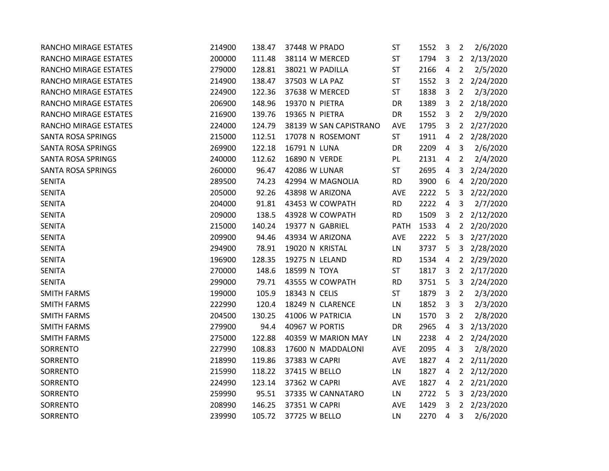| RANCHO MIRAGE ESTATES        | 214900 | 138.47 | 37448 W PRADO          | <b>ST</b>   | 1552 | 3              | $\overline{2}$ | 2/6/2020  |
|------------------------------|--------|--------|------------------------|-------------|------|----------------|----------------|-----------|
| RANCHO MIRAGE ESTATES        | 200000 | 111.48 | 38114 W MERCED         | <b>ST</b>   | 1794 | 3              | $2^{\circ}$    | 2/13/2020 |
| RANCHO MIRAGE ESTATES        | 279000 | 128.81 | 38021 W PADILLA        | <b>ST</b>   | 2166 | $\overline{4}$ | $\overline{2}$ | 2/5/2020  |
| <b>RANCHO MIRAGE ESTATES</b> | 214900 | 138.47 | 37503 W LA PAZ         | ST          | 1552 | 3              | $2^{\circ}$    | 2/24/2020 |
| RANCHO MIRAGE ESTATES        | 224900 | 122.36 | 37638 W MERCED         | ST          | 1838 | 3              | $\overline{2}$ | 2/3/2020  |
| RANCHO MIRAGE ESTATES        | 206900 | 148.96 | 19370 N PIETRA         | DR          | 1389 | 3              | $2^{\circ}$    | 2/18/2020 |
| RANCHO MIRAGE ESTATES        | 216900 | 139.76 | 19365 N PIETRA         | DR          | 1552 | 3              | $\overline{2}$ | 2/9/2020  |
| RANCHO MIRAGE ESTATES        | 224000 | 124.79 | 38139 W SAN CAPISTRANO | AVE         | 1795 | 3              | $2^{\circ}$    | 2/27/2020 |
| SANTA ROSA SPRINGS           | 215000 | 112.51 | 17078 N ROSEMONT       | <b>ST</b>   | 1911 | $\overline{4}$ | $2^{\circ}$    | 2/28/2020 |
| <b>SANTA ROSA SPRINGS</b>    | 269900 | 122.18 | 16791 N LUNA           | DR          | 2209 | $\overline{4}$ | 3              | 2/6/2020  |
| <b>SANTA ROSA SPRINGS</b>    | 240000 | 112.62 | 16890 N VERDE          | PL.         | 2131 | 4              | $\overline{2}$ | 2/4/2020  |
| SANTA ROSA SPRINGS           | 260000 | 96.47  | 42086 W LUNAR          | ST          | 2695 | 4              | 3              | 2/24/2020 |
| <b>SENITA</b>                | 289500 | 74.23  | 42994 W MAGNOLIA       | <b>RD</b>   | 3900 | 6              | $\overline{4}$ | 2/20/2020 |
| <b>SENITA</b>                | 205000 | 92.26  | 43898 W ARIZONA        | AVE         | 2222 | 5              | 3              | 2/22/2020 |
| <b>SENITA</b>                | 204000 | 91.81  | 43453 W COWPATH        | <b>RD</b>   | 2222 | $\overline{4}$ | 3              | 2/7/2020  |
| <b>SENITA</b>                | 209000 | 138.5  | 43928 W COWPATH        | <b>RD</b>   | 1509 | 3              | $2^{\circ}$    | 2/12/2020 |
| <b>SENITA</b>                | 215000 | 140.24 | 19377 N GABRIEL        | <b>PATH</b> | 1533 | $\overline{4}$ | $\overline{2}$ | 2/20/2020 |
| <b>SENITA</b>                | 209900 | 94.46  | 43934 W ARIZONA        | AVE         | 2222 | 5              | 3              | 2/27/2020 |
| <b>SENITA</b>                | 294900 | 78.91  | 19020 N KRISTAL        | LN          | 3737 | 5              | $\mathbf{3}$   | 2/28/2020 |
| <b>SENITA</b>                | 196900 | 128.35 | 19275 N LELAND         | <b>RD</b>   | 1534 | $\overline{4}$ | $2^{\circ}$    | 2/29/2020 |
| <b>SENITA</b>                | 270000 | 148.6  | 18599 N TOYA           | ST          | 1817 | 3              | $\overline{2}$ | 2/17/2020 |
| <b>SENITA</b>                | 299000 | 79.71  | 43555 W COWPATH        | <b>RD</b>   | 3751 | 5              | $\mathbf{3}$   | 2/24/2020 |
| <b>SMITH FARMS</b>           | 199000 | 105.9  | 18343 N CELIS          | <b>ST</b>   | 1879 | 3              | $\overline{2}$ | 2/3/2020  |
| <b>SMITH FARMS</b>           | 222990 | 120.4  | 18249 N CLARENCE       | LN          | 1852 | $\overline{3}$ | 3              | 2/3/2020  |
| <b>SMITH FARMS</b>           | 204500 | 130.25 | 41006 W PATRICIA       | LN          | 1570 | 3              | 2              | 2/8/2020  |
| <b>SMITH FARMS</b>           | 279900 | 94.4   | 40967 W PORTIS         | DR          | 2965 | $\overline{4}$ | 3              | 2/13/2020 |
| <b>SMITH FARMS</b>           | 275000 | 122.88 | 40359 W MARION MAY     | LN          | 2238 | $\overline{4}$ | $2^{\circ}$    | 2/24/2020 |
| SORRENTO                     | 227990 | 108.83 | 17600 N MADDALONI      | AVE         | 2095 | $\overline{4}$ | 3              | 2/8/2020  |
| SORRENTO                     | 218990 | 119.86 | 37383 W CAPRI          | AVE         | 1827 | $\overline{4}$ | $\overline{2}$ | 2/11/2020 |
| SORRENTO                     | 215990 | 118.22 | 37415 W BELLO          | <b>LN</b>   | 1827 | 4              | $\overline{2}$ | 2/12/2020 |
| SORRENTO                     | 224990 | 123.14 | 37362 W CAPRI          | AVE         | 1827 | $\overline{a}$ | $\overline{2}$ | 2/21/2020 |
| SORRENTO                     | 259990 | 95.51  | 37335 W CANNATARO      | LN          | 2722 | 5              | 3              | 2/23/2020 |
| SORRENTO                     | 208990 | 146.25 | 37351 W CAPRI          | AVE         | 1429 | 3              | $\overline{2}$ | 2/23/2020 |
| SORRENTO                     | 239990 | 105.72 | 37725 W BELLO          | LN          | 2270 | $\overline{4}$ | 3              | 2/6/2020  |